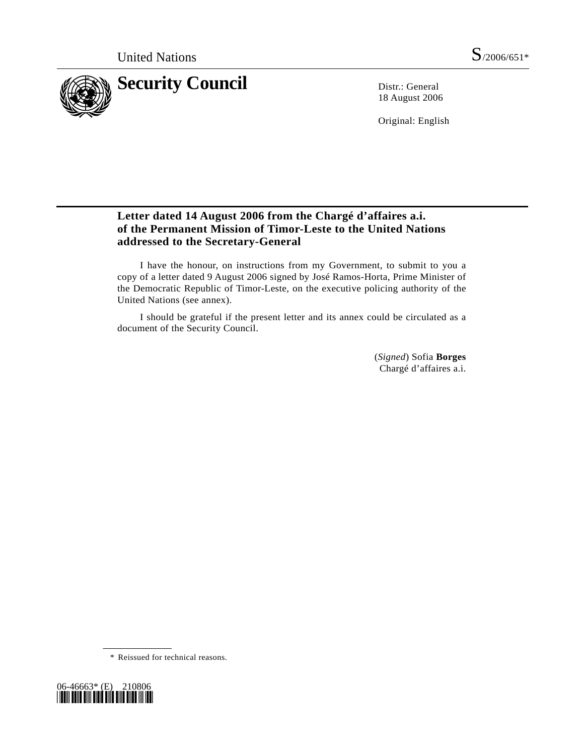

18 August 2006

Original: English

## **Letter dated 14 August 2006 from the Chargé d'affaires a.i. of the Permanent Mission of Timor-Leste to the United Nations addressed to the Secretary-General**

 I have the honour, on instructions from my Government, to submit to you a copy of a letter dated 9 August 2006 signed by José Ramos-Horta, Prime Minister of the Democratic Republic of Timor-Leste, on the executive policing authority of the United Nations (see annex).

 I should be grateful if the present letter and its annex could be circulated as a document of the Security Council.

> (*Signed*) Sofia **Borges** Chargé d'affaires a.i.

\* Reissued for technical reasons.